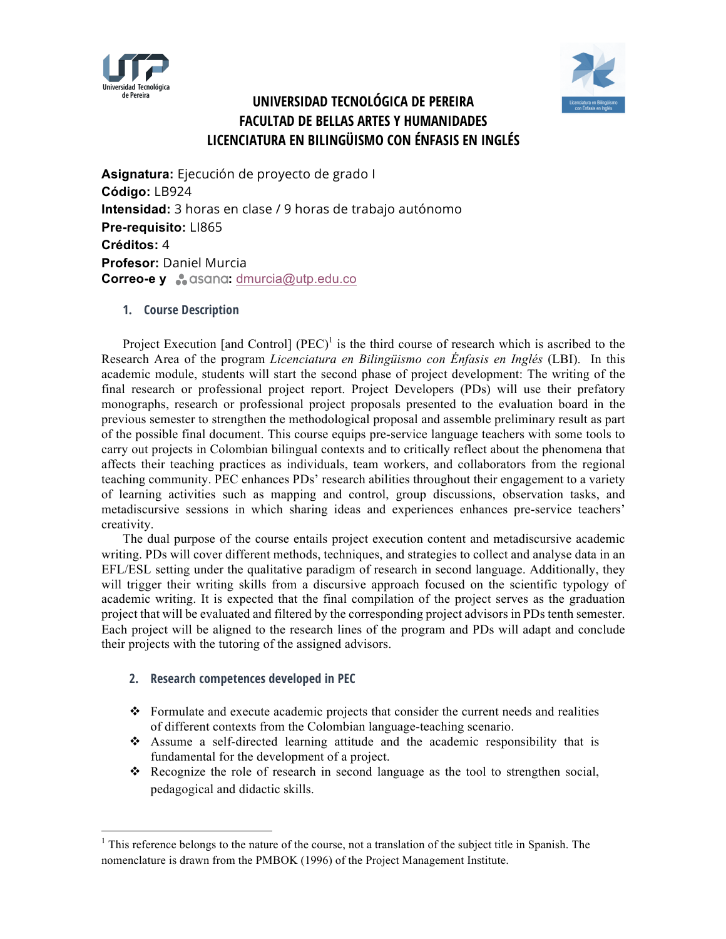



# **UNIVERSIDAD TECNOLÓGICA DE PEREIRA FACULTAD DE BELLAS ARTES Y HUMANIDADES LICENCIATURA EN BILINGÜISMO CON ÉNFASIS EN INGLÉS**

**Asignatura:** Ejecución de proyecto de grado I **Código:** LB924 **Intensidad:** 3 horas en clase / 9 horas de trabajo autónomo **Pre-requisito:** LI865 **Créditos:** 4 **Profesor:** Daniel Murcia **Correo-e y** *cosana: dmurcia@utp.edu.co* 

### **1. Course Description**

Project Execution [and Control]  $(PEC)^1$  is the third course of research which is ascribed to the Research Area of the program *Licenciatura en Bilingüismo con Énfasis en Inglés* (LBI). In this academic module, students will start the second phase of project development: The writing of the final research or professional project report. Project Developers (PDs) will use their prefatory monographs, research or professional project proposals presented to the evaluation board in the previous semester to strengthen the methodological proposal and assemble preliminary result as part of the possible final document. This course equips pre-service language teachers with some tools to carry out projects in Colombian bilingual contexts and to critically reflect about the phenomena that affects their teaching practices as individuals, team workers, and collaborators from the regional teaching community. PEC enhances PDs' research abilities throughout their engagement to a variety of learning activities such as mapping and control, group discussions, observation tasks, and metadiscursive sessions in which sharing ideas and experiences enhances pre-service teachers' creativity.

The dual purpose of the course entails project execution content and metadiscursive academic writing. PDs will cover different methods, techniques, and strategies to collect and analyse data in an EFL/ESL setting under the qualitative paradigm of research in second language. Additionally, they will trigger their writing skills from a discursive approach focused on the scientific typology of academic writing. It is expected that the final compilation of the project serves as the graduation project that will be evaluated and filtered by the corresponding project advisors in PDs tenth semester. Each project will be aligned to the research lines of the program and PDs will adapt and conclude their projects with the tutoring of the assigned advisors.

# **2. Research competences developed in PEC**

 

- $\div$  Formulate and execute academic projects that consider the current needs and realities of different contexts from the Colombian language-teaching scenario.
- $\triangle$  Assume a self-directed learning attitude and the academic responsibility that is fundamental for the development of a project.
- $\bullet$  Recognize the role of research in second language as the tool to strengthen social, pedagogical and didactic skills.

<sup>&</sup>lt;sup>1</sup> This reference belongs to the nature of the course, not a translation of the subject title in Spanish. The nomenclature is drawn from the PMBOK (1996) of the Project Management Institute.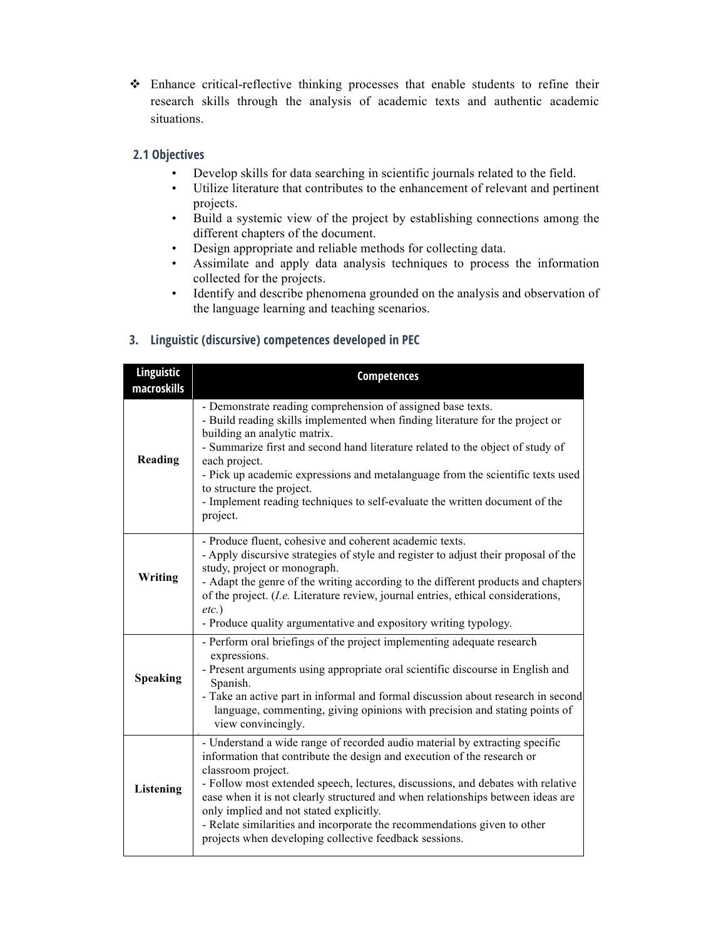$\div$  Enhance critical-reflective thinking processes that enable students to refine their research skills through the analysis of academic texts and authentic academic situations.

# **2.1 Objectives**

- Develop skills for data searching in scientific journals related to the field.
- Utilize literature that contributes to the enhancement of relevant and pertinent projects.
- Build a systemic view of the project by establishing connections among the different chapters of the document.
- Design appropriate and reliable methods for collecting data.
- Assimilate and apply data analysis techniques to process the information collected for the projects.
- Identify and describe phenomena grounded on the analysis and observation of the language learning and teaching scenarios.

| Linguistic<br>macroskills | <b>Competences</b>                                                                                                                                                                                                                                                                                                                                                                                                                                                                                                                  |
|---------------------------|-------------------------------------------------------------------------------------------------------------------------------------------------------------------------------------------------------------------------------------------------------------------------------------------------------------------------------------------------------------------------------------------------------------------------------------------------------------------------------------------------------------------------------------|
| Reading                   | - Demonstrate reading comprehension of assigned base texts.<br>- Build reading skills implemented when finding literature for the project or<br>building an analytic matrix.<br>- Summarize first and second hand literature related to the object of study of<br>each project.<br>- Pick up academic expressions and metalanguage from the scientific texts used<br>to structure the project.<br>- Implement reading techniques to self-evaluate the written document of the<br>project.                                           |
| Writing                   | - Produce fluent, cohesive and coherent academic texts.<br>- Apply discursive strategies of style and register to adjust their proposal of the<br>study, project or monograph.<br>- Adapt the genre of the writing according to the different products and chapters<br>of the project. ( <i>I.e.</i> Literature review, journal entries, ethical considerations,<br>$etc.$ )<br>- Produce quality argumentative and expository writing typology.                                                                                    |
| <b>Speaking</b>           | - Perform oral briefings of the project implementing adequate research<br>expressions.<br>- Present arguments using appropriate oral scientific discourse in English and<br>Spanish.<br>- Take an active part in informal and formal discussion about research in second<br>language, commenting, giving opinions with precision and stating points of<br>view convincingly.                                                                                                                                                        |
| <b>Listening</b>          | - Understand a wide range of recorded audio material by extracting specific<br>information that contribute the design and execution of the research or<br>classroom project.<br>- Follow most extended speech, lectures, discussions, and debates with relative<br>ease when it is not clearly structured and when relationships between ideas are<br>only implied and not stated explicitly.<br>- Relate similarities and incorporate the recommendations given to other<br>projects when developing collective feedback sessions. |

### **3. Linguistic (discursive) competences developed in PEC**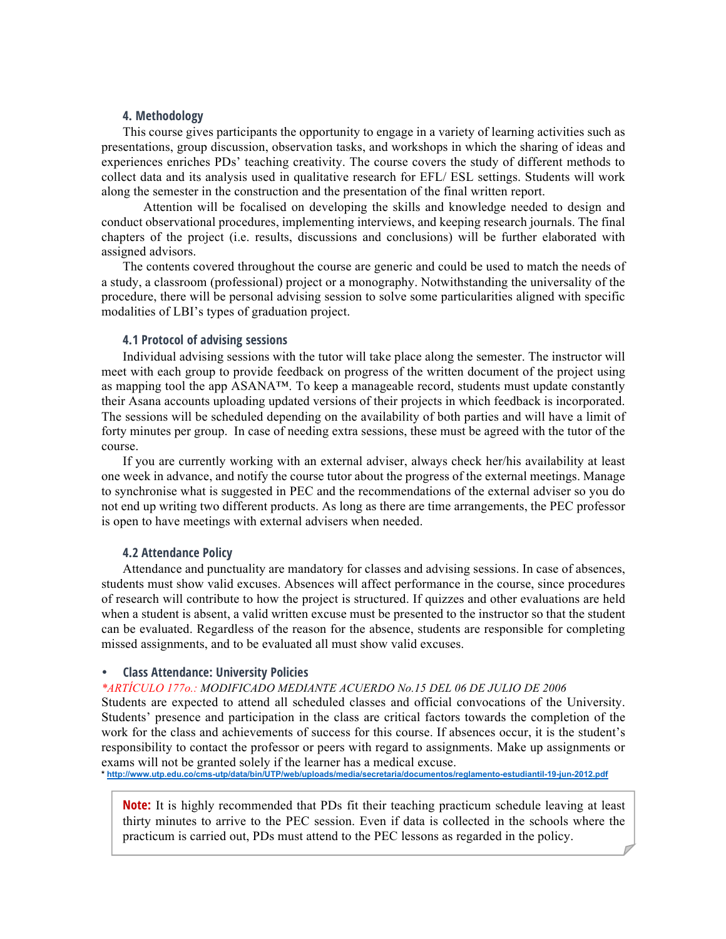#### **4. Methodology**

This course gives participants the opportunity to engage in a variety of learning activities such as presentations, group discussion, observation tasks, and workshops in which the sharing of ideas and experiences enriches PDs' teaching creativity. The course covers the study of different methods to collect data and its analysis used in qualitative research for EFL/ ESL settings. Students will work along the semester in the construction and the presentation of the final written report.

Attention will be focalised on developing the skills and knowledge needed to design and conduct observational procedures, implementing interviews, and keeping research journals. The final chapters of the project (i.e. results, discussions and conclusions) will be further elaborated with assigned advisors.

The contents covered throughout the course are generic and could be used to match the needs of a study, a classroom (professional) project or a monography. Notwithstanding the universality of the procedure, there will be personal advising session to solve some particularities aligned with specific modalities of LBI's types of graduation project.

#### **4.1 Protocol of advising sessions**

Individual advising sessions with the tutor will take place along the semester. The instructor will meet with each group to provide feedback on progress of the written document of the project using as mapping tool the app  $ASANA^{TM}$ . To keep a manageable record, students must update constantly their Asana accounts uploading updated versions of their projects in which feedback is incorporated. The sessions will be scheduled depending on the availability of both parties and will have a limit of forty minutes per group. In case of needing extra sessions, these must be agreed with the tutor of the course.

If you are currently working with an external adviser, always check her/his availability at least one week in advance, and notify the course tutor about the progress of the external meetings. Manage to synchronise what is suggested in PEC and the recommendations of the external adviser so you do not end up writing two different products. As long as there are time arrangements, the PEC professor is open to have meetings with external advisers when needed.

#### **4.2 Attendance Policy**

Attendance and punctuality are mandatory for classes and advising sessions. In case of absences, students must show valid excuses. Absences will affect performance in the course, since procedures of research will contribute to how the project is structured. If quizzes and other evaluations are held when a student is absent, a valid written excuse must be presented to the instructor so that the student can be evaluated. Regardless of the reason for the absence, students are responsible for completing missed assignments, and to be evaluated all must show valid excuses.

### • **Class Attendance: University Policies**

#### *\*ARTÍCULO 177o.: MODIFICADO MEDIANTE ACUERDO No.15 DEL 06 DE JULIO DE 2006*

Students are expected to attend all scheduled classes and official convocations of the University. Students' presence and participation in the class are critical factors towards the completion of the work for the class and achievements of success for this course. If absences occur, it is the student's responsibility to contact the professor or peers with regard to assignments. Make up assignments or exams will not be granted solely if the learner has a medical excuse.

**\* http://www.utp.edu.co/cms-utp/data/bin/UTP/web/uploads/media/secretaria/documentos/reglamento-estudiantil-19-jun-2012.pdf**

**Note:** It is highly recommended that PDs fit their teaching practicum schedule leaving at least thirty minutes to arrive to the PEC session. Even if data is collected in the schools where the practicum is carried out, PDs must attend to the PEC lessons as regarded in the policy.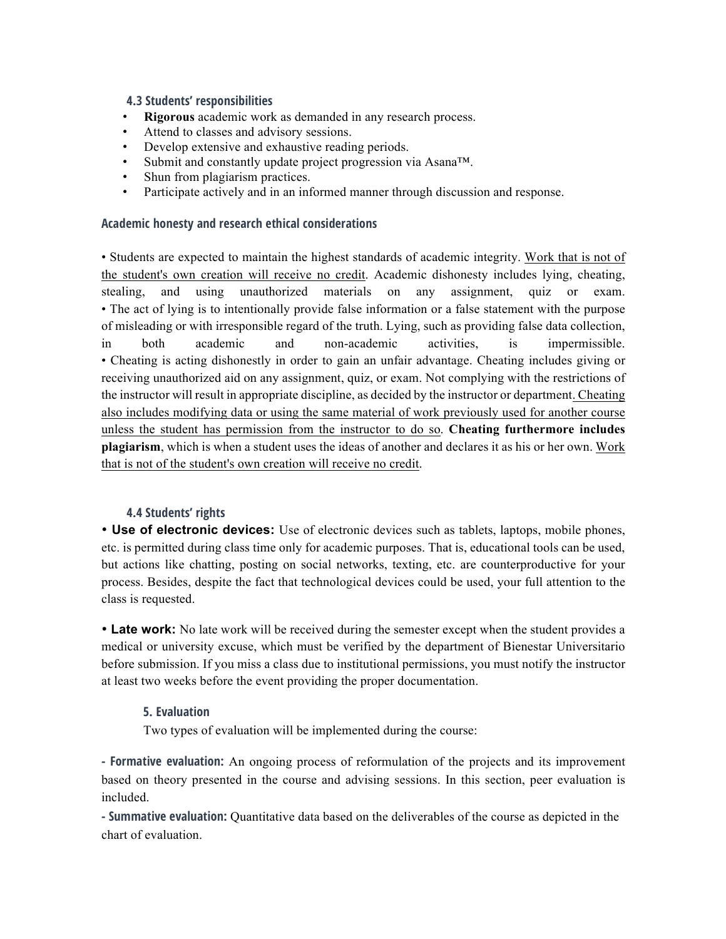### **4.3 Students' responsibilities**

- **Rigorous** academic work as demanded in any research process.
- Attend to classes and advisory sessions.
- Develop extensive and exhaustive reading periods.
- Submit and constantly update project progression via Asana™.
- Shun from plagiarism practices.
- Participate actively and in an informed manner through discussion and response.

### **Academic honesty and research ethical considerations**

• Students are expected to maintain the highest standards of academic integrity. Work that is not of the student's own creation will receive no credit. Academic dishonesty includes lying, cheating, stealing, and using unauthorized materials on any assignment, quiz or exam. • The act of lying is to intentionally provide false information or a false statement with the purpose of misleading or with irresponsible regard of the truth. Lying, such as providing false data collection, in both academic and non-academic activities, is impermissible. • Cheating is acting dishonestly in order to gain an unfair advantage. Cheating includes giving or receiving unauthorized aid on any assignment, quiz, or exam. Not complying with the restrictions of the instructor will result in appropriate discipline, as decided by the instructor or department. Cheating also includes modifying data or using the same material of work previously used for another course unless the student has permission from the instructor to do so. **Cheating furthermore includes plagiarism**, which is when a student uses the ideas of another and declares it as his or her own. Work that is not of the student's own creation will receive no credit.

# **4.4 Students' rights**

• **Use of electronic devices:** Use of electronic devices such as tablets, laptops, mobile phones, etc. is permitted during class time only for academic purposes. That is, educational tools can be used, but actions like chatting, posting on social networks, texting, etc. are counterproductive for your process. Besides, despite the fact that technological devices could be used, your full attention to the class is requested.

• **Late work:** No late work will be received during the semester except when the student provides a medical or university excuse, which must be verified by the department of Bienestar Universitario before submission. If you miss a class due to institutional permissions, you must notify the instructor at least two weeks before the event providing the proper documentation.

# **5. Evaluation**

Two types of evaluation will be implemented during the course:

**- Formative evaluation:** An ongoing process of reformulation of the projects and its improvement based on theory presented in the course and advising sessions. In this section, peer evaluation is included.

**- Summative evaluation:** Quantitative data based on the deliverables of the course as depicted in the chart of evaluation.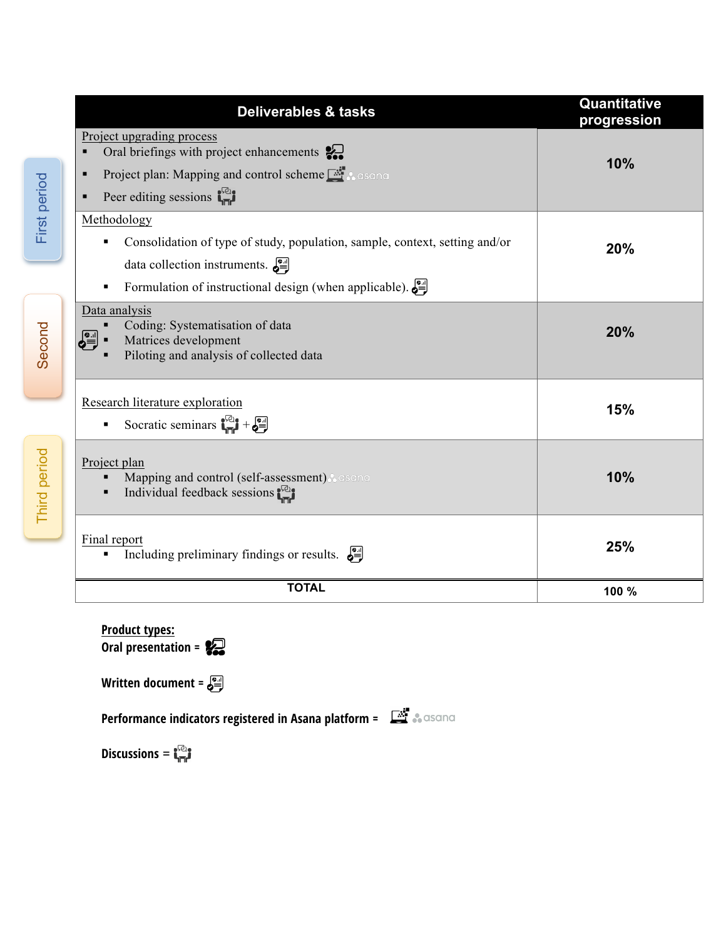|              | <b>Deliverables &amp; tasks</b>                                                                                                                                                                                                  | Quantitative<br>progression |
|--------------|----------------------------------------------------------------------------------------------------------------------------------------------------------------------------------------------------------------------------------|-----------------------------|
| First period | Project upgrading process<br>Oral briefings with project enhancements $\sum_{n=1}^{\infty}$<br>Project plan: Mapping and control scheme with a gradient<br>Peer editing sessions $\mathbf{L}^{\text{eq}}$                        | 10%                         |
|              | Methodology<br>Consolidation of type of study, population, sample, context, setting and/or<br>data collection instruments. $\mathbf{S}$<br>Formulation of instructional design (when applicable). $\frac{\bullet}{\bullet}$<br>٠ | 20%                         |
| Second       | Data analysis<br>Coding: Systematisation of data<br>$\frac{\sqrt{2}}{\sqrt{2}}$ .<br>Matrices development<br>Piloting and analysis of collected data                                                                             | 20%                         |
|              | Research literature exploration<br>Socratic seminars $\mathbf{l}^{\text{Q}}_{\text{m}} \mathbf{j} + \mathbf{e}^{\text{S}}$                                                                                                       | 15%                         |
| Third period | Project plan<br>Mapping and control (self-assessment) & asana<br>Individual feedback sessions $\mathbf{L}^{\mathbb{R}}$<br>$\blacksquare$                                                                                        | 10%                         |
|              | Final report<br>Including preliminary findings or results. $\mathbf{e}^{\mathbf{e}}$<br>٠                                                                                                                                        | 25%                         |
|              | <b>TOTAL</b>                                                                                                                                                                                                                     | 100 %                       |

**Product types: Oral presentation =** 

**Written document =** 

**Performance indicators registered in Asana platform =**  $\mathbb{Z}$  . Is assumed

**Discussions** =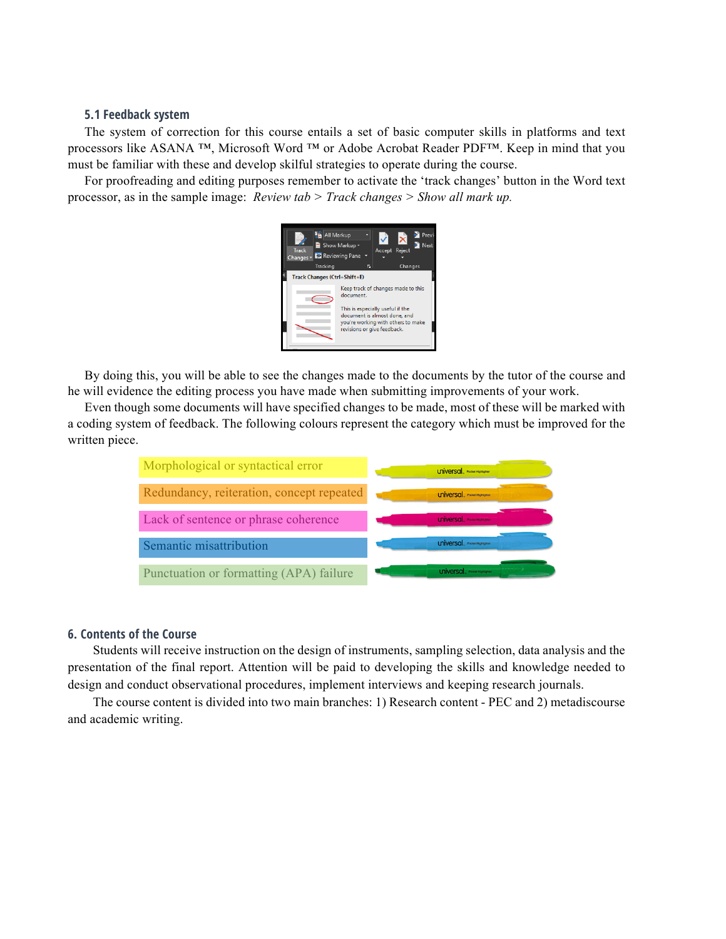#### **5.1 Feedback system**

The system of correction for this course entails a set of basic computer skills in platforms and text processors like ASANA<sup>™</sup>, Microsoft Word ™ or Adobe Acrobat Reader PDF<sup>™</sup>. Keep in mind that you must be familiar with these and develop skilful strategies to operate during the course.

For proofreading and editing purposes remember to activate the 'track changes' button in the Word text processor, as in the sample image: *Review tab > Track changes > Show all mark up.*



By doing this, you will be able to see the changes made to the documents by the tutor of the course and he will evidence the editing process you have made when submitting improvements of your work.

Even though some documents will have specified changes to be made, most of these will be marked with a coding system of feedback. The following colours represent the category which must be improved for the written piece.



#### **6. Contents of the Course**

Students will receive instruction on the design of instruments, sampling selection, data analysis and the presentation of the final report. Attention will be paid to developing the skills and knowledge needed to design and conduct observational procedures, implement interviews and keeping research journals.

The course content is divided into two main branches: 1) Research content - PEC and 2) metadiscourse and academic writing.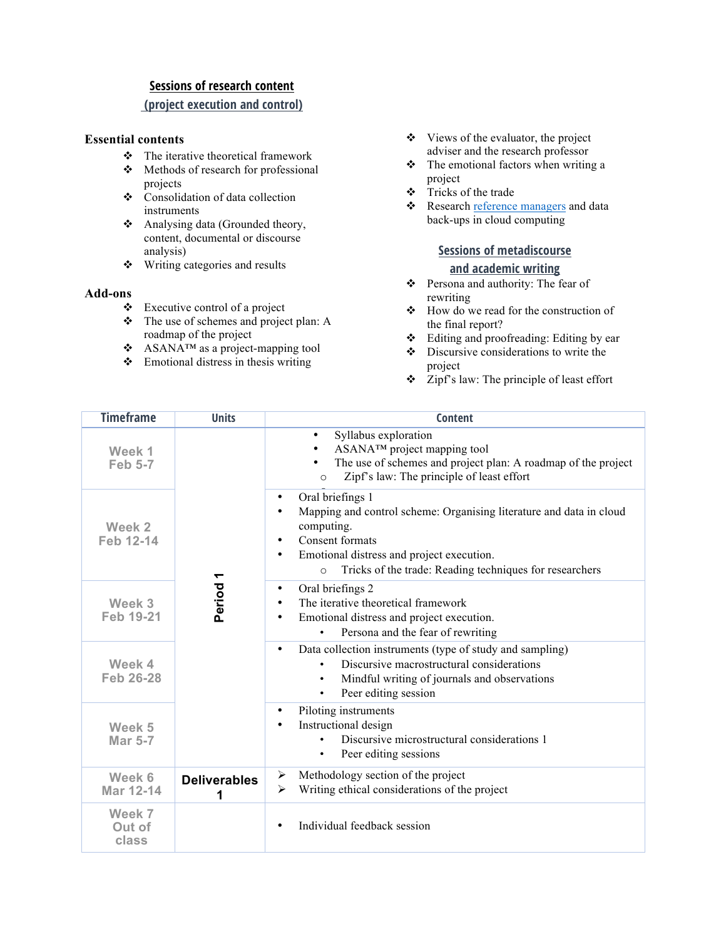### **Sessions of research content**

## **(project execution and control)**

### **Essential contents**

- $\div$  The iterative theoretical framework
- $\triangleleft$  Methods of research for professional projects
- $\div$  Consolidation of data collection instruments
- $\triangleleft$  Analysing data (Grounded theory, content, documental or discourse analysis)
- $\div$  Writing categories and results

#### **Add-ons**

- $\triangle$  Executive control of a project
- $\div$  The use of schemes and project plan: A roadmap of the project
- v ASANA™ as a project-mapping tool
- $\triangle$  Emotional distress in thesis writing
- $\bullet$  Views of the evaluator, the project adviser and the research professor
- $\div$  The emotional factors when writing a project
- $\div$  Tricks of the trade
- v Research reference managers and data back-ups in cloud computing

# **Sessions of metadiscourse and academic writing**

- v Persona and authority: The fear of rewriting
- $\bullet$  How do we read for the construction of the final report?
- **↓** Editing and proofreading: Editing by ear <br> **↓** Discursive considerations to write the
- Discursive considerations to write the project
- $\div$  Zipf's law: The principle of least effort

| <b>Timeframe</b>           | <b>Units</b>                   | <b>Content</b>                                                                                                                                                                                                                                                                                  |
|----------------------------|--------------------------------|-------------------------------------------------------------------------------------------------------------------------------------------------------------------------------------------------------------------------------------------------------------------------------------------------|
| Week 1<br><b>Feb 5-7</b>   | $\blacktriangledown$<br>Period | Syllabus exploration<br>$\bullet$<br>ASANA™ project mapping tool<br>The use of schemes and project plan: A roadmap of the project<br>$\bullet$<br>Zipf's law: The principle of least effort<br>$\circ$                                                                                          |
| Week 2<br>Feb 12-14        |                                | Oral briefings 1<br>$\bullet$<br>Mapping and control scheme: Organising literature and data in cloud<br>$\bullet$<br>computing.<br>Consent formats<br>$\bullet$<br>Emotional distress and project execution.<br>$\bullet$<br>Tricks of the trade: Reading techniques for researchers<br>$\circ$ |
| Week 3<br><b>Feb 19-21</b> |                                | Oral briefings 2<br>$\bullet$<br>The iterative theoretical framework<br>$\bullet$<br>Emotional distress and project execution.<br>$\bullet$<br>Persona and the fear of rewriting<br>$\bullet$                                                                                                   |
| Week 4<br><b>Feb 26-28</b> |                                | Data collection instruments (type of study and sampling)<br>$\bullet$<br>Discursive macrostructural considerations<br>Mindful writing of journals and observations<br>$\bullet$<br>Peer editing session<br>$\bullet$                                                                            |
| Week 5<br><b>Mar 5-7</b>   |                                | Piloting instruments<br>$\bullet$<br>Instructional design<br>$\bullet$<br>Discursive microstructural considerations 1<br>$\bullet$<br>Peer editing sessions<br>$\bullet$                                                                                                                        |
| Week 6<br>Mar 12-14        | <b>Deliverables</b><br>1       | Methodology section of the project<br>➤<br>Writing ethical considerations of the project<br>➤                                                                                                                                                                                                   |
| Week 7<br>Out of<br>class  |                                | Individual feedback session<br>$\bullet$                                                                                                                                                                                                                                                        |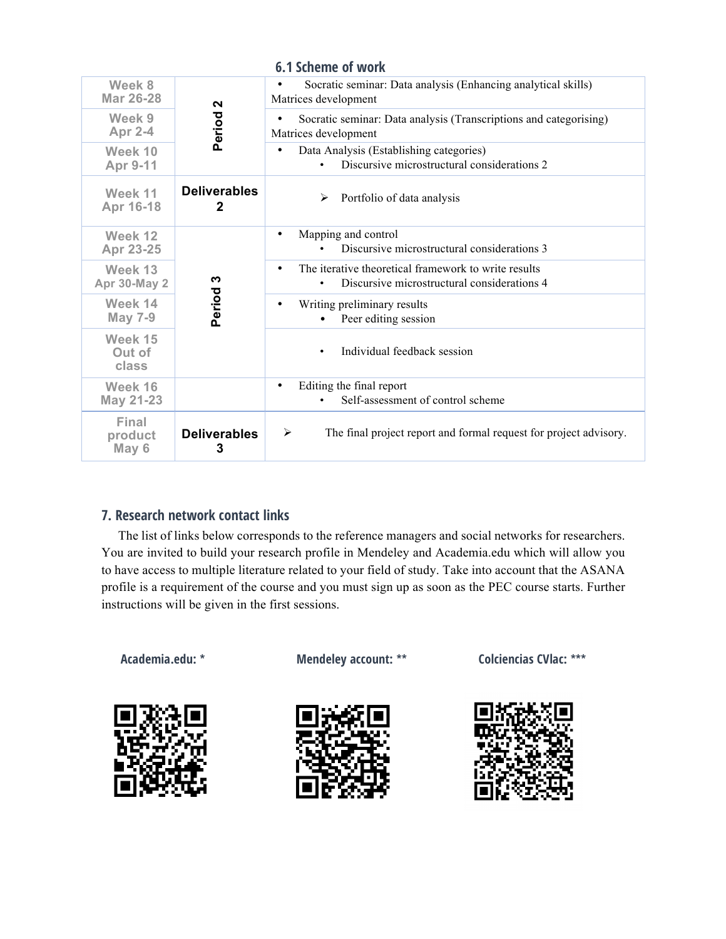| 6.1 Scheme of work                 |                                     |                                                                                                                               |  |  |  |
|------------------------------------|-------------------------------------|-------------------------------------------------------------------------------------------------------------------------------|--|--|--|
| Week 8<br><b>Mar 26-28</b>         | $\mathbf{z}$                        | Socratic seminar: Data analysis (Enhancing analytical skills)<br>$\bullet$<br>Matrices development                            |  |  |  |
| Period<br>Week 9<br><b>Apr 2-4</b> |                                     | Socratic seminar: Data analysis (Transcriptions and categorising)<br>$\bullet$<br>Matrices development                        |  |  |  |
| Week 10<br>Apr 9-11                |                                     | Data Analysis (Establishing categories)<br>$\bullet$<br>Discursive microstructural considerations 2<br>$\bullet$              |  |  |  |
| Week 11<br>Apr 16-18               | <b>Deliverables</b><br>$\mathbf{2}$ | Portfolio of data analysis<br>⋗                                                                                               |  |  |  |
| Week 12<br>Apr 23-25               | S<br>Period                         | Mapping and control<br>$\bullet$<br>Discursive microstructural considerations 3                                               |  |  |  |
| Week 13<br>Apr 30-May 2            |                                     | The iterative theoretical framework to write results<br>$\bullet$<br>Discursive microstructural considerations 4<br>$\bullet$ |  |  |  |
| Week 14<br><b>May 7-9</b>          |                                     | Writing preliminary results<br>$\bullet$<br>Peer editing session                                                              |  |  |  |
| Week 15<br>Out of<br>class         |                                     | Individual feedback session<br>$\bullet$                                                                                      |  |  |  |
| Week 16<br>May 21-23               |                                     | Editing the final report<br>$\bullet$<br>Self-assessment of control scheme                                                    |  |  |  |
| Final<br>product<br>May 6          | <b>Deliverables</b><br>3            | ➤<br>The final project report and formal request for project advisory.                                                        |  |  |  |

# **7. Research network contact links**

The list of links below corresponds to the reference managers and social networks for researchers. You are invited to build your research profile in Mendeley and Academia.edu which will allow you to have access to multiple literature related to your field of study. Take into account that the ASANA profile is a requirement of the course and you must sign up as soon as the PEC course starts. Further instructions will be given in the first sessions.

 **Academia.edu: \* Mendeley account: \*\* Colciencias CVlac: \*\*\***